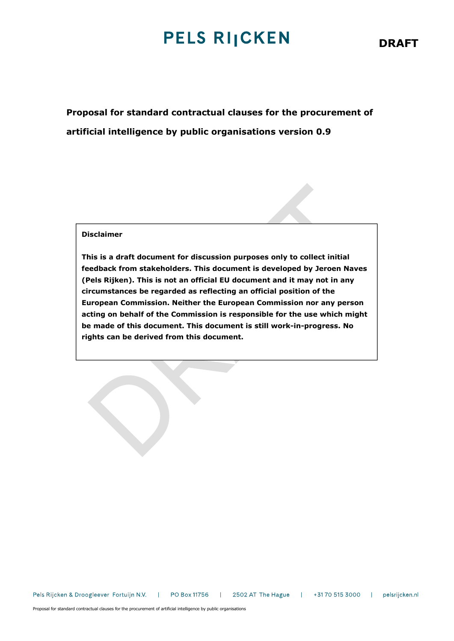# **PELS RIJCKEN**

Proposal for standard contractual clauses for the procurement of artificial intelligence by public organisations version 0.9

### Disclaimer

This is a draft document for discussion purposes only to collect initial feedback from stakeholders. This document is developed by Jeroen Naves (Pels Rijken). This is not an official EU document and it may not in any circumstances be regarded as reflecting an official position of the European Commission. Neither the European Commission nor any person acting on behalf of the Commission is responsible for the use which might be made of this document. This document is still work-in-progress. No rights can be derived from this document.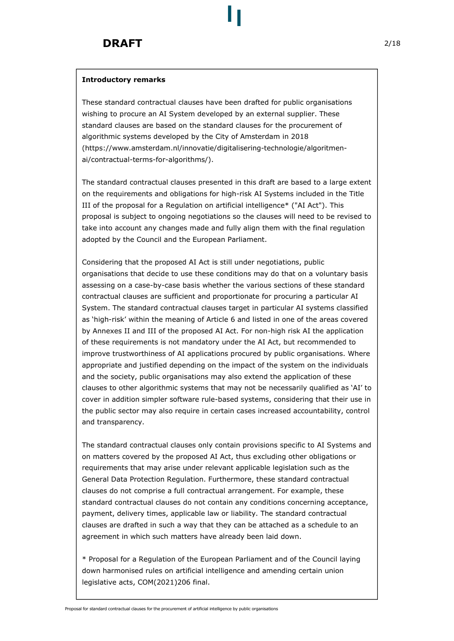#### Introductory remarks

These standard contractual clauses have been drafted for public organisations wishing to procure an AI System developed by an external supplier. These standard clauses are based on the standard clauses for the procurement of algorithmic systems developed by the City of Amsterdam in 2018 (https://www.amsterdam.nl/innovatie/digitalisering-technologie/algoritmenai/contractual-terms-for-algorithms/).

The standard contractual clauses presented in this draft are based to a large extent on the requirements and obligations for high-risk AI Systems included in the Title III of the proposal for a Regulation on artificial intelligence\* ("AI Act"). This proposal is subject to ongoing negotiations so the clauses will need to be revised to take into account any changes made and fully align them with the final regulation adopted by the Council and the European Parliament.

Considering that the proposed AI Act is still under negotiations, public organisations that decide to use these conditions may do that on a voluntary basis assessing on a case-by-case basis whether the various sections of these standard contractual clauses are sufficient and proportionate for procuring a particular AI System. The standard contractual clauses target in particular AI systems classified as 'high-risk' within the meaning of Article 6 and listed in one of the areas covered by Annexes II and III of the proposed AI Act. For non-high risk AI the application of these requirements is not mandatory under the AI Act, but recommended to improve trustworthiness of AI applications procured by public organisations. Where appropriate and justified depending on the impact of the system on the individuals and the society, public organisations may also extend the application of these clauses to other algorithmic systems that may not be necessarily qualified as 'AI' to cover in addition simpler software rule-based systems, considering that their use in the public sector may also require in certain cases increased accountability, control and transparency.

The standard contractual clauses only contain provisions specific to AI Systems and on matters covered by the proposed AI Act, thus excluding other obligations or requirements that may arise under relevant applicable legislation such as the General Data Protection Regulation. Furthermore, these standard contractual clauses do not comprise a full contractual arrangement. For example, these standard contractual clauses do not contain any conditions concerning acceptance, payment, delivery times, applicable law or liability. The standard contractual clauses are drafted in such a way that they can be attached as a schedule to an agreement in which such matters have already been laid down.

\* Proposal for a Regulation of the European Parliament and of the Council laying down harmonised rules on artificial intelligence and amending certain union legislative acts, COM(2021)206 final.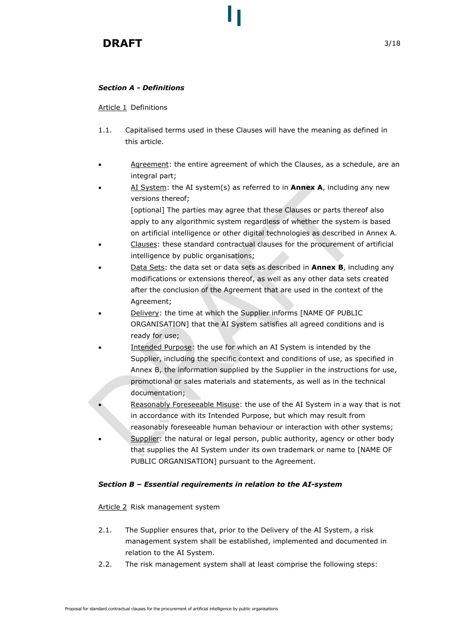# Section A - Definitions

Article 1 Definitions

- 1.1. Capitalised terms used in these Clauses will have the meaning as defined in this article.
- Agreement: the entire agreement of which the Clauses, as a schedule, are an integral part;
- AI System: the AI system(s) as referred to in **Annex A**, including any new versions thereof; [optional] The parties may agree that these Clauses or parts thereof also apply to any algorithmic system regardless of whether the system is based on artificial intelligence or other digital technologies as described in Annex A.
- Clauses: these standard contractual clauses for the procurement of artificial intelligence by public organisations;
- Data Sets: the data set or data sets as described in **Annex B**, including any modifications or extensions thereof, as well as any other data sets created after the conclusion of the Agreement that are used in the context of the Agreement;
- Delivery: the time at which the Supplier informs [NAME OF PUBLIC ORGANISATION] that the AI System satisfies all agreed conditions and is ready for use;
- Intended Purpose: the use for which an AI System is intended by the Supplier, including the specific context and conditions of use, as specified in Annex B, the information supplied by the Supplier in the instructions for use, promotional or sales materials and statements, as well as in the technical documentation;
- Reasonably Foreseeable Misuse: the use of the AI System in a way that is not in accordance with its Intended Purpose, but which may result from reasonably foreseeable human behaviour or interaction with other systems;
- Supplier: the natural or legal person, public authority, agency or other body that supplies the AI System under its own trademark or name to [NAME OF PUBLIC ORGANISATION] pursuant to the Agreement.

### Section B – Essential requirements in relation to the AI-system

### Article 2 Risk management system

- 2.1. The Supplier ensures that, prior to the Delivery of the AI System, a risk management system shall be established, implemented and documented in relation to the AI System.
- 2.2. The risk management system shall at least comprise the following steps: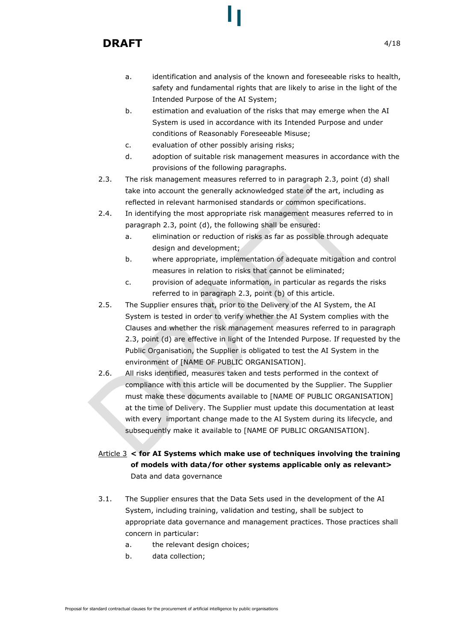- a. identification and analysis of the known and foreseeable risks to health, safety and fundamental rights that are likely to arise in the light of the Intended Purpose of the AI System;
- b. estimation and evaluation of the risks that may emerge when the AI System is used in accordance with its Intended Purpose and under conditions of Reasonably Foreseeable Misuse;
- c. evaluation of other possibly arising risks;
- d. adoption of suitable risk management measures in accordance with the provisions of the following paragraphs.
- 2.3. The risk management measures referred to in paragraph 2.3, point (d) shall take into account the generally acknowledged state of the art, including as reflected in relevant harmonised standards or common specifications.
- 2.4. In identifying the most appropriate risk management measures referred to in paragraph 2.3, point (d), the following shall be ensured:
	- a. elimination or reduction of risks as far as possible through adequate design and development;
	- b. where appropriate, implementation of adequate mitigation and control measures in relation to risks that cannot be eliminated;
	- c. provision of adequate information, in particular as regards the risks referred to in paragraph 2.3, point (b) of this article.
- 2.5. The Supplier ensures that, prior to the Delivery of the AI System, the AI System is tested in order to verify whether the AI System complies with the Clauses and whether the risk management measures referred to in paragraph 2.3, point (d) are effective in light of the Intended Purpose. If requested by the Public Organisation, the Supplier is obligated to test the AI System in the environment of [NAME OF PUBLIC ORGANISATION].
- 2.6. All risks identified, measures taken and tests performed in the context of compliance with this article will be documented by the Supplier. The Supplier must make these documents available to [NAME OF PUBLIC ORGANISATION] at the time of Delivery. The Supplier must update this documentation at least with every important change made to the AI System during its lifecycle, and subsequently make it available to [NAME OF PUBLIC ORGANISATION].

# Article  $3 <$  for AI Systems which make use of techniques involving the training of models with data/for other systems applicable only as relevant> Data and data governance

- 3.1. The Supplier ensures that the Data Sets used in the development of the AI System, including training, validation and testing, shall be subject to appropriate data governance and management practices. Those practices shall concern in particular:
	- a. the relevant design choices;
	- b. data collection;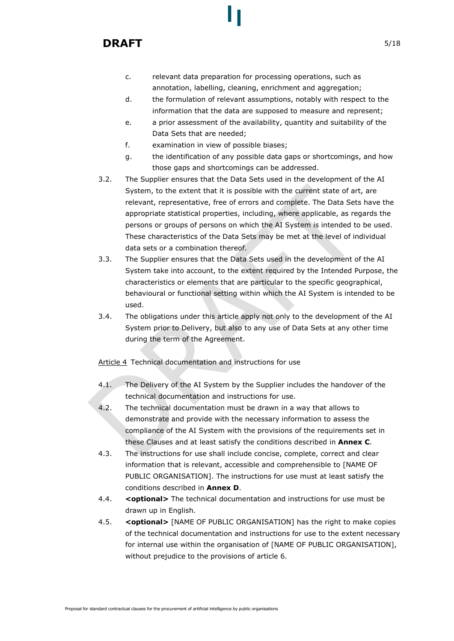- c. relevant data preparation for processing operations, such as annotation, labelling, cleaning, enrichment and aggregation;
- d. the formulation of relevant assumptions, notably with respect to the information that the data are supposed to measure and represent;
- e. a prior assessment of the availability, quantity and suitability of the Data Sets that are needed;
- f. examination in view of possible biases;
- g. the identification of any possible data gaps or shortcomings, and how those gaps and shortcomings can be addressed.
- 3.2. The Supplier ensures that the Data Sets used in the development of the AI System, to the extent that it is possible with the current state of art, are relevant, representative, free of errors and complete. The Data Sets have the appropriate statistical properties, including, where applicable, as regards the persons or groups of persons on which the AI System is intended to be used. These characteristics of the Data Sets may be met at the level of individual data sets or a combination thereof.
- 3.3. The Supplier ensures that the Data Sets used in the development of the AI System take into account, to the extent required by the Intended Purpose, the characteristics or elements that are particular to the specific geographical, behavioural or functional setting within which the AI System is intended to be used.
- 3.4. The obligations under this article apply not only to the development of the AI System prior to Delivery, but also to any use of Data Sets at any other time during the term of the Agreement.

Article 4 Technical documentation and instructions for use

- 4.1. The Delivery of the AI System by the Supplier includes the handover of the technical documentation and instructions for use.
- 4.2. The technical documentation must be drawn in a way that allows to demonstrate and provide with the necessary information to assess the compliance of the AI System with the provisions of the requirements set in these Clauses and at least satisfy the conditions described in Annex C.
- 4.3. The instructions for use shall include concise, complete, correct and clear information that is relevant, accessible and comprehensible to [NAME OF PUBLIC ORGANISATION]. The instructions for use must at least satisfy the conditions described in Annex D.
- 4.4. < optional> The technical documentation and instructions for use must be drawn up in English.
- 4.5. < optional> [NAME OF PUBLIC ORGANISATION] has the right to make copies of the technical documentation and instructions for use to the extent necessary for internal use within the organisation of [NAME OF PUBLIC ORGANISATION], without prejudice to the provisions of article 6.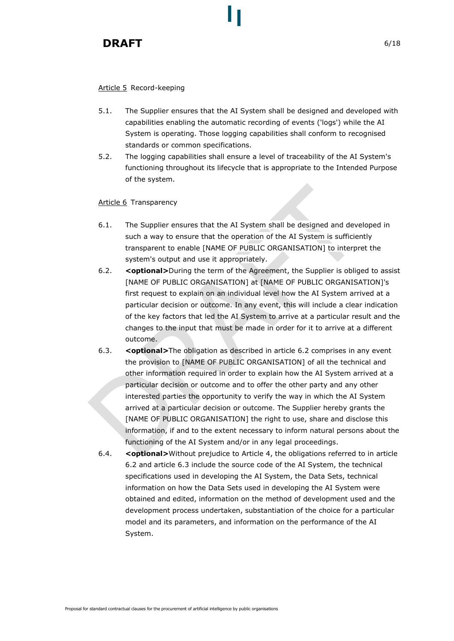### Article 5 Record-keeping

- 5.1. The Supplier ensures that the AI System shall be designed and developed with capabilities enabling the automatic recording of events ('logs') while the AI System is operating. Those logging capabilities shall conform to recognised standards or common specifications.
- 5.2. The logging capabilities shall ensure a level of traceability of the AI System's functioning throughout its lifecycle that is appropriate to the Intended Purpose of the system.

### Article 6 Transparency

- 6.1. The Supplier ensures that the AI System shall be designed and developed in such a way to ensure that the operation of the AI System is sufficiently transparent to enable [NAME OF PUBLIC ORGANISATION] to interpret the system's output and use it appropriately.
- 6.2. < optional>During the term of the Agreement, the Supplier is obliged to assist [NAME OF PUBLIC ORGANISATION] at [NAME OF PUBLIC ORGANISATION]'s first request to explain on an individual level how the AI System arrived at a particular decision or outcome. In any event, this will include a clear indication of the key factors that led the AI System to arrive at a particular result and the changes to the input that must be made in order for it to arrive at a different outcome.
- 6.3. < optional>The obligation as described in article 6.2 comprises in any event the provision to [NAME OF PUBLIC ORGANISATION] of all the technical and other information required in order to explain how the AI System arrived at a particular decision or outcome and to offer the other party and any other interested parties the opportunity to verify the way in which the AI System arrived at a particular decision or outcome. The Supplier hereby grants the [NAME OF PUBLIC ORGANISATION] the right to use, share and disclose this information, if and to the extent necessary to inform natural persons about the functioning of the AI System and/or in any legal proceedings.
- 6.4. < **<optional>**Without prejudice to Article 4, the obligations referred to in article 6.2 and article 6.3 include the source code of the AI System, the technical specifications used in developing the AI System, the Data Sets, technical information on how the Data Sets used in developing the AI System were obtained and edited, information on the method of development used and the development process undertaken, substantiation of the choice for a particular model and its parameters, and information on the performance of the AI System.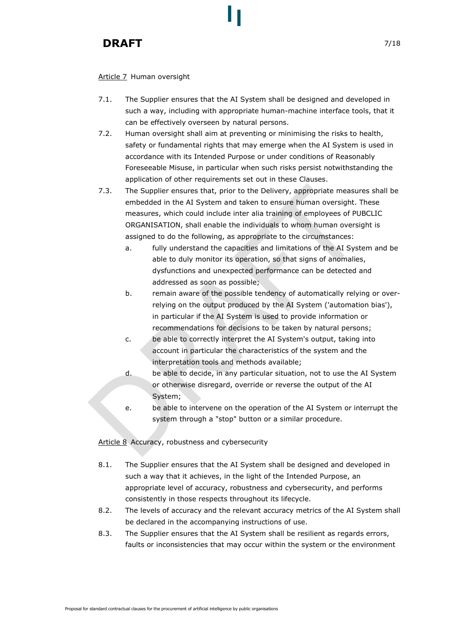### Article 7 Human oversight

- 7.1. The Supplier ensures that the AI System shall be designed and developed in such a way, including with appropriate human-machine interface tools, that it can be effectively overseen by natural persons.
- 7.2. Human oversight shall aim at preventing or minimising the risks to health, safety or fundamental rights that may emerge when the AI System is used in accordance with its Intended Purpose or under conditions of Reasonably Foreseeable Misuse, in particular when such risks persist notwithstanding the application of other requirements set out in these Clauses.
- 7.3. The Supplier ensures that, prior to the Delivery, appropriate measures shall be embedded in the AI System and taken to ensure human oversight. These measures, which could include inter alia training of employees of PUBCLIC ORGANISATION, shall enable the individuals to whom human oversight is assigned to do the following, as appropriate to the circumstances:
	- a. fully understand the capacities and limitations of the AI System and be able to duly monitor its operation, so that signs of anomalies, dysfunctions and unexpected performance can be detected and addressed as soon as possible;
	- b. remain aware of the possible tendency of automatically relying or overrelying on the output produced by the AI System ('automation bias'), in particular if the AI System is used to provide information or recommendations for decisions to be taken by natural persons;
	- c. be able to correctly interpret the AI System's output, taking into account in particular the characteristics of the system and the interpretation tools and methods available;
	- d. be able to decide, in any particular situation, not to use the AI System or otherwise disregard, override or reverse the output of the AI System;
	- e. be able to intervene on the operation of the AI System or interrupt the system through a "stop" button or a similar procedure.

Article 8 Accuracy, robustness and cybersecurity

- 8.1. The Supplier ensures that the AI System shall be designed and developed in such a way that it achieves, in the light of the Intended Purpose, an appropriate level of accuracy, robustness and cybersecurity, and performs consistently in those respects throughout its lifecycle.
- 8.2. The levels of accuracy and the relevant accuracy metrics of the AI System shall be declared in the accompanying instructions of use.
- 8.3. The Supplier ensures that the AI System shall be resilient as regards errors, faults or inconsistencies that may occur within the system or the environment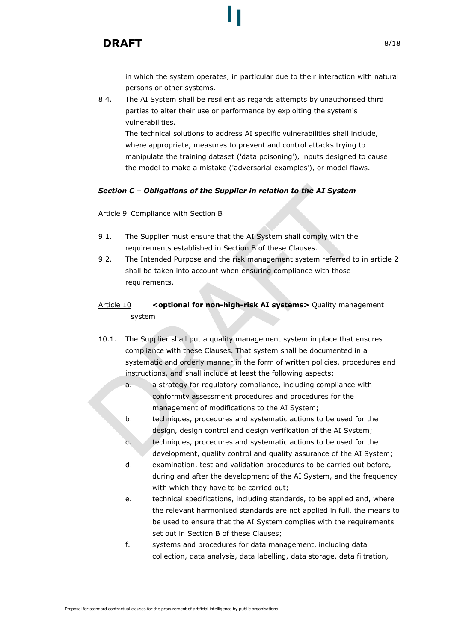in which the system operates, in particular due to their interaction with natural persons or other systems.

8.4. The AI System shall be resilient as regards attempts by unauthorised third parties to alter their use or performance by exploiting the system's vulnerabilities.

The technical solutions to address AI specific vulnerabilities shall include, where appropriate, measures to prevent and control attacks trying to manipulate the training dataset ('data poisoning'), inputs designed to cause the model to make a mistake ('adversarial examples'), or model flaws.

#### Section C – Obligations of the Supplier in relation to the AI System

#### Article 9 Compliance with Section B

- 9.1. The Supplier must ensure that the AI System shall comply with the requirements established in Section B of these Clauses.
- 9.2. The Intended Purpose and the risk management system referred to in article 2 shall be taken into account when ensuring compliance with those requirements.

# Article 10 <optional for non-high-risk AI systems> Quality management system

- 10.1. The Supplier shall put a quality management system in place that ensures compliance with these Clauses. That system shall be documented in a systematic and orderly manner in the form of written policies, procedures and instructions, and shall include at least the following aspects:
	- a. a strategy for regulatory compliance, including compliance with conformity assessment procedures and procedures for the management of modifications to the AI System;
	- b. techniques, procedures and systematic actions to be used for the design, design control and design verification of the AI System;
	- c. techniques, procedures and systematic actions to be used for the development, quality control and quality assurance of the AI System;
	- d. examination, test and validation procedures to be carried out before, during and after the development of the AI System, and the frequency with which they have to be carried out;
	- e. technical specifications, including standards, to be applied and, where the relevant harmonised standards are not applied in full, the means to be used to ensure that the AI System complies with the requirements set out in Section B of these Clauses;
	- f. systems and procedures for data management, including data collection, data analysis, data labelling, data storage, data filtration,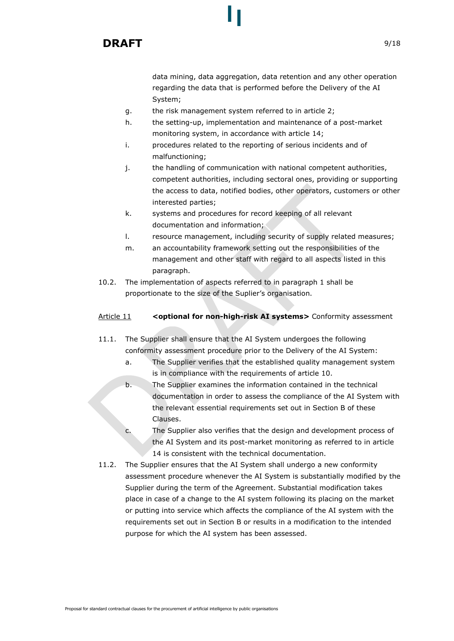

data mining, data aggregation, data retention and any other operation regarding the data that is performed before the Delivery of the AI System;

- g. the risk management system referred to in article 2;
- h. the setting-up, implementation and maintenance of a post-market monitoring system, in accordance with article 14;
- i. procedures related to the reporting of serious incidents and of malfunctioning;
- j. the handling of communication with national competent authorities, competent authorities, including sectoral ones, providing or supporting the access to data, notified bodies, other operators, customers or other interested parties;
- k. systems and procedures for record keeping of all relevant documentation and information;
- l. resource management, including security of supply related measures;
- m. an accountability framework setting out the responsibilities of the management and other staff with regard to all aspects listed in this paragraph.
- 10.2. The implementation of aspects referred to in paragraph 1 shall be proportionate to the size of the Suplier's organisation.

#### Article 11 < optional for non-high-risk AI systems> Conformity assessment

- 11.1. The Supplier shall ensure that the AI System undergoes the following conformity assessment procedure prior to the Delivery of the AI System:
	- a. The Supplier verifies that the established quality management system is in compliance with the requirements of article 10.
	- b. The Supplier examines the information contained in the technical documentation in order to assess the compliance of the AI System with the relevant essential requirements set out in Section B of these Clauses.
	- c. The Supplier also verifies that the design and development process of the AI System and its post-market monitoring as referred to in article 14 is consistent with the technical documentation.
- 11.2. The Supplier ensures that the AI System shall undergo a new conformity assessment procedure whenever the AI System is substantially modified by the Supplier during the term of the Agreement. Substantial modification takes place in case of a change to the AI system following its placing on the market or putting into service which affects the compliance of the AI system with the requirements set out in Section B or results in a modification to the intended purpose for which the AI system has been assessed.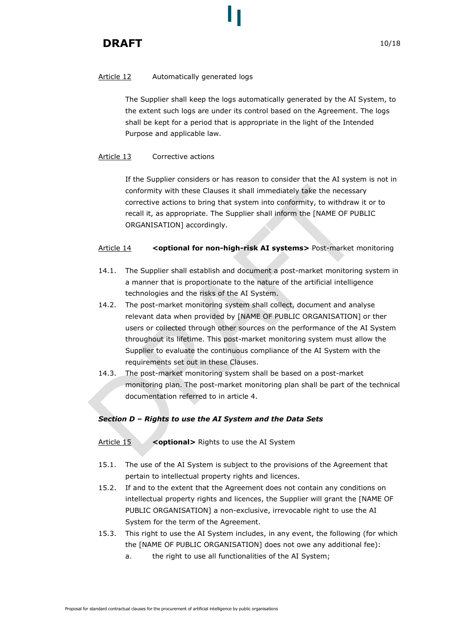# Article 12 Automatically generated logs

The Supplier shall keep the logs automatically generated by the AI System, to the extent such logs are under its control based on the Agreement. The logs shall be kept for a period that is appropriate in the light of the Intended Purpose and applicable law.

# Article 13 Corrective actions

If the Supplier considers or has reason to consider that the AI system is not in conformity with these Clauses it shall immediately take the necessary corrective actions to bring that system into conformity, to withdraw it or to recall it, as appropriate. The Supplier shall inform the [NAME OF PUBLIC ORGANISATION] accordingly.

### Article 14 < optional for non-high-risk AI systems> Post-market monitoring

- 14.1. The Supplier shall establish and document a post-market monitoring system in a manner that is proportionate to the nature of the artificial intelligence technologies and the risks of the AI System.
- 14.2. The post-market monitoring system shall collect, document and analyse relevant data when provided by [NAME OF PUBLIC ORGANISATION] or ther users or collected through other sources on the performance of the AI System throughout its lifetime. This post-market monitoring system must allow the Supplier to evaluate the continuous compliance of the AI System with the requirements set out in these Clauses.
- 14.3. The post-market monitoring system shall be based on a post-market monitoring plan. The post-market monitoring plan shall be part of the technical documentation referred to in article 4.

# Section D – Rights to use the AI System and the Data Sets

- Article  $15 \times$  < optional> Rights to use the AI System
- 15.1. The use of the AI System is subject to the provisions of the Agreement that pertain to intellectual property rights and licences.
- 15.2. If and to the extent that the Agreement does not contain any conditions on intellectual property rights and licences, the Supplier will grant the [NAME OF PUBLIC ORGANISATION] a non-exclusive, irrevocable right to use the AI System for the term of the Agreement.
- 15.3. This right to use the AI System includes, in any event, the following (for which the [NAME OF PUBLIC ORGANISATION] does not owe any additional fee):
	- a. the right to use all functionalities of the AI System;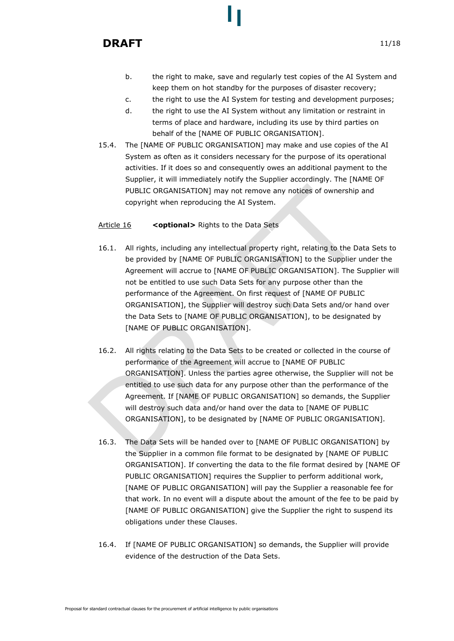- b. the right to make, save and regularly test copies of the AI System and keep them on hot standby for the purposes of disaster recovery;
- c. the right to use the AI System for testing and development purposes;
- d. the right to use the AI System without any limitation or restraint in terms of place and hardware, including its use by third parties on behalf of the [NAME OF PUBLIC ORGANISATION].
- 15.4. The [NAME OF PUBLIC ORGANISATION] may make and use copies of the AI System as often as it considers necessary for the purpose of its operational activities. If it does so and consequently owes an additional payment to the Supplier, it will immediately notify the Supplier accordingly. The [NAME OF PUBLIC ORGANISATION] may not remove any notices of ownership and copyright when reproducing the AI System.

# Article 16 < optional> Rights to the Data Sets

- 16.1. All rights, including any intellectual property right, relating to the Data Sets to be provided by [NAME OF PUBLIC ORGANISATION] to the Supplier under the Agreement will accrue to [NAME OF PUBLIC ORGANISATION]. The Supplier will not be entitled to use such Data Sets for any purpose other than the performance of the Agreement. On first request of [NAME OF PUBLIC ORGANISATION], the Supplier will destroy such Data Sets and/or hand over the Data Sets to [NAME OF PUBLIC ORGANISATION], to be designated by [NAME OF PUBLIC ORGANISATION].
- 16.2. All rights relating to the Data Sets to be created or collected in the course of performance of the Agreement will accrue to [NAME OF PUBLIC ORGANISATION]. Unless the parties agree otherwise, the Supplier will not be entitled to use such data for any purpose other than the performance of the Agreement. If [NAME OF PUBLIC ORGANISATION] so demands, the Supplier will destroy such data and/or hand over the data to [NAME OF PUBLIC ORGANISATION], to be designated by [NAME OF PUBLIC ORGANISATION].
- 16.3. The Data Sets will be handed over to [NAME OF PUBLIC ORGANISATION] by the Supplier in a common file format to be designated by [NAME OF PUBLIC ORGANISATION]. If converting the data to the file format desired by [NAME OF PUBLIC ORGANISATION] requires the Supplier to perform additional work, [NAME OF PUBLIC ORGANISATION] will pay the Supplier a reasonable fee for that work. In no event will a dispute about the amount of the fee to be paid by [NAME OF PUBLIC ORGANISATION] give the Supplier the right to suspend its obligations under these Clauses.
- 16.4. If [NAME OF PUBLIC ORGANISATION] so demands, the Supplier will provide evidence of the destruction of the Data Sets.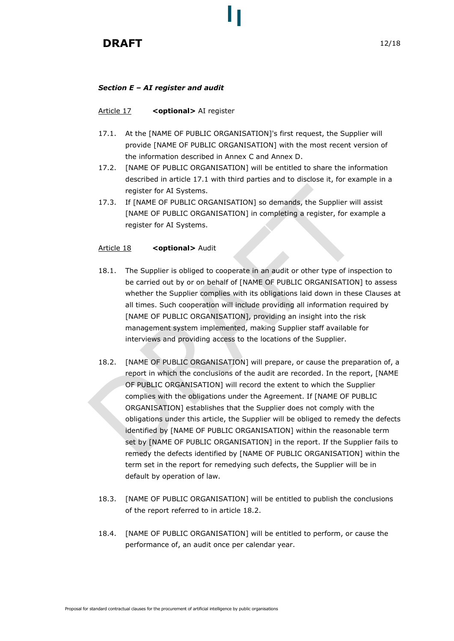# Section E – AI register and audit

### Article 17 < optional> AI register

- 17.1. At the [NAME OF PUBLIC ORGANISATION]'s first request, the Supplier will provide [NAME OF PUBLIC ORGANISATION] with the most recent version of the information described in Annex C and Annex D.
- 17.2. [NAME OF PUBLIC ORGANISATION] will be entitled to share the information described in article 17.1 with third parties and to disclose it, for example in a register for AI Systems.
- 17.3. If [NAME OF PUBLIC ORGANISATION] so demands, the Supplier will assist [NAME OF PUBLIC ORGANISATION] in completing a register, for example a register for AI Systems.

### Article 18 < optional> Audit

- 18.1. The Supplier is obliged to cooperate in an audit or other type of inspection to be carried out by or on behalf of [NAME OF PUBLIC ORGANISATION] to assess whether the Supplier complies with its obligations laid down in these Clauses at all times. Such cooperation will include providing all information required by [NAME OF PUBLIC ORGANISATION], providing an insight into the risk management system implemented, making Supplier staff available for interviews and providing access to the locations of the Supplier.
- 18.2. [NAME OF PUBLIC ORGANISATION] will prepare, or cause the preparation of, a report in which the conclusions of the audit are recorded. In the report, [NAME OF PUBLIC ORGANISATION] will record the extent to which the Supplier complies with the obligations under the Agreement. If [NAME OF PUBLIC ORGANISATION] establishes that the Supplier does not comply with the obligations under this article, the Supplier will be obliged to remedy the defects identified by [NAME OF PUBLIC ORGANISATION] within the reasonable term set by [NAME OF PUBLIC ORGANISATION] in the report. If the Supplier fails to remedy the defects identified by [NAME OF PUBLIC ORGANISATION] within the term set in the report for remedying such defects, the Supplier will be in default by operation of law.
- 18.3. [NAME OF PUBLIC ORGANISATION] will be entitled to publish the conclusions of the report referred to in article 18.2.
- 18.4. [NAME OF PUBLIC ORGANISATION] will be entitled to perform, or cause the performance of, an audit once per calendar year.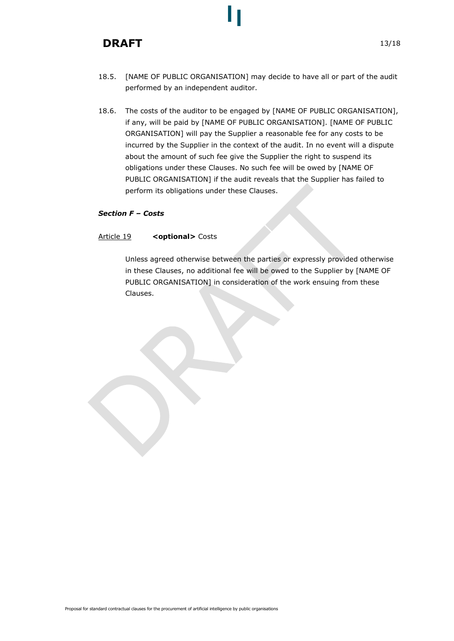- 18.5. [NAME OF PUBLIC ORGANISATION] may decide to have all or part of the audit performed by an independent auditor.
- 18.6. The costs of the auditor to be engaged by [NAME OF PUBLIC ORGANISATION], if any, will be paid by [NAME OF PUBLIC ORGANISATION]. [NAME OF PUBLIC ORGANISATION] will pay the Supplier a reasonable fee for any costs to be incurred by the Supplier in the context of the audit. In no event will a dispute about the amount of such fee give the Supplier the right to suspend its obligations under these Clauses. No such fee will be owed by [NAME OF PUBLIC ORGANISATION] if the audit reveals that the Supplier has failed to perform its obligations under these Clauses.

### Section F – Costs

### Article 19 < optional> Costs

Unless agreed otherwise between the parties or expressly provided otherwise in these Clauses, no additional fee will be owed to the Supplier by [NAME OF PUBLIC ORGANISATION] in consideration of the work ensuing from these Clauses.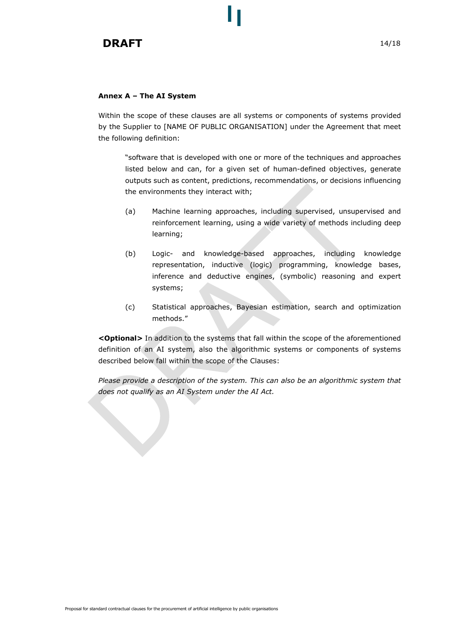#### Annex A – The AI System

Within the scope of these clauses are all systems or components of systems provided by the Supplier to [NAME OF PUBLIC ORGANISATION] under the Agreement that meet the following definition:

"software that is developed with one or more of the techniques and approaches listed below and can, for a given set of human-defined objectives, generate outputs such as content, predictions, recommendations, or decisions influencing the environments they interact with;

- (a) Machine learning approaches, including supervised, unsupervised and reinforcement learning, using a wide variety of methods including deep learning;
- (b) Logic- and knowledge-based approaches, including knowledge representation, inductive (logic) programming, knowledge bases, inference and deductive engines, (symbolic) reasoning and expert systems;
- (c) Statistical approaches, Bayesian estimation, search and optimization methods."

<Optional> In addition to the systems that fall within the scope of the aforementioned definition of an AI system, also the algorithmic systems or components of systems described below fall within the scope of the Clauses:

Please provide a description of the system. This can also be an algorithmic system that does not qualify as an AI System under the AI Act.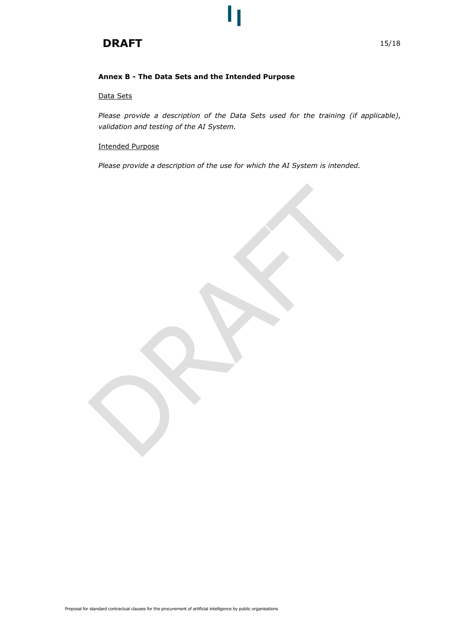### Annex B - The Data Sets and the Intended Purpose

### Data Sets

Please provide a description of the Data Sets used for the training (if applicable), validation and testing of the AI System.

### Intended Purpose

Please provide a description of the use for which the AI System is intended.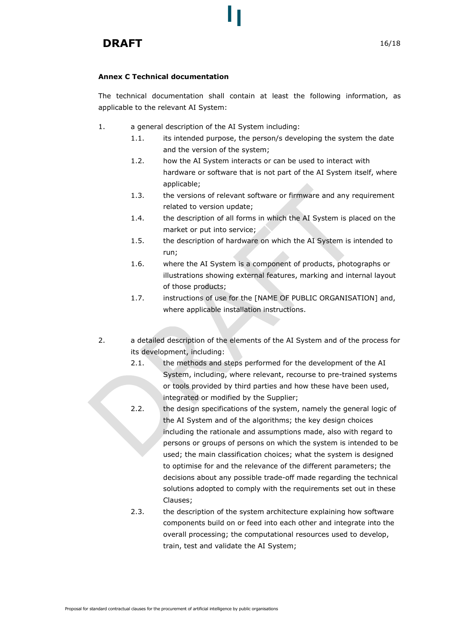### Annex C Technical documentation

The technical documentation shall contain at least the following information, as applicable to the relevant AI System:

- 1. a general description of the AI System including:
	- 1.1. its intended purpose, the person/s developing the system the date and the version of the system;
	- 1.2. how the AI System interacts or can be used to interact with hardware or software that is not part of the AI System itself, where applicable;
	- 1.3. the versions of relevant software or firmware and any requirement related to version update;
	- 1.4. the description of all forms in which the AI System is placed on the market or put into service;
	- 1.5. the description of hardware on which the AI System is intended to run;
	- 1.6. where the AI System is a component of products, photographs or illustrations showing external features, marking and internal layout of those products;
	- 1.7. instructions of use for the [NAME OF PUBLIC ORGANISATION] and, where applicable installation instructions.
- 2. a detailed description of the elements of the AI System and of the process for its development, including:
	- 2.1. the methods and steps performed for the development of the AI System, including, where relevant, recourse to pre-trained systems or tools provided by third parties and how these have been used, integrated or modified by the Supplier;
	- 2.2. the design specifications of the system, namely the general logic of the AI System and of the algorithms; the key design choices including the rationale and assumptions made, also with regard to persons or groups of persons on which the system is intended to be used; the main classification choices; what the system is designed to optimise for and the relevance of the different parameters; the decisions about any possible trade-off made regarding the technical solutions adopted to comply with the requirements set out in these Clauses;
	- 2.3. the description of the system architecture explaining how software components build on or feed into each other and integrate into the overall processing; the computational resources used to develop, train, test and validate the AI System;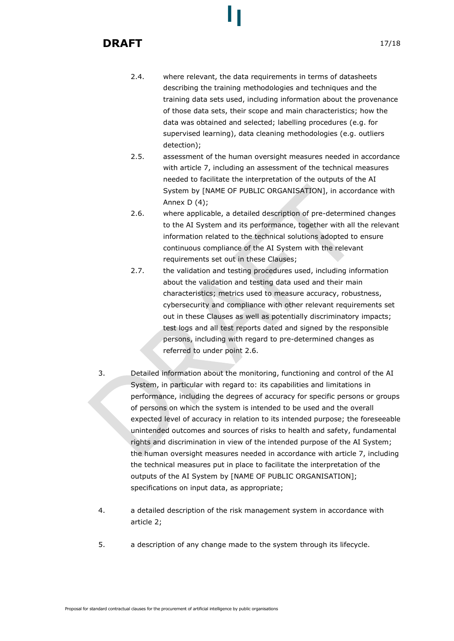- 2.4. where relevant, the data requirements in terms of datasheets describing the training methodologies and techniques and the training data sets used, including information about the provenance of those data sets, their scope and main characteristics; how the data was obtained and selected; labelling procedures (e.g. for supervised learning), data cleaning methodologies (e.g. outliers detection);
- 2.5. assessment of the human oversight measures needed in accordance with article 7, including an assessment of the technical measures needed to facilitate the interpretation of the outputs of the AI System by [NAME OF PUBLIC ORGANISATION], in accordance with Annex  $D(4)$ ;
- 2.6. where applicable, a detailed description of pre-determined changes to the AI System and its performance, together with all the relevant information related to the technical solutions adopted to ensure continuous compliance of the AI System with the relevant requirements set out in these Clauses;
- 2.7. the validation and testing procedures used, including information about the validation and testing data used and their main characteristics; metrics used to measure accuracy, robustness, cybersecurity and compliance with other relevant requirements set out in these Clauses as well as potentially discriminatory impacts; test logs and all test reports dated and signed by the responsible persons, including with regard to pre-determined changes as referred to under point 2.6.
- 3. Detailed information about the monitoring, functioning and control of the AI System, in particular with regard to: its capabilities and limitations in performance, including the degrees of accuracy for specific persons or groups of persons on which the system is intended to be used and the overall expected level of accuracy in relation to its intended purpose; the foreseeable unintended outcomes and sources of risks to health and safety, fundamental rights and discrimination in view of the intended purpose of the AI System; the human oversight measures needed in accordance with article 7, including the technical measures put in place to facilitate the interpretation of the outputs of the AI System by [NAME OF PUBLIC ORGANISATION]; specifications on input data, as appropriate;
- 4. a detailed description of the risk management system in accordance with article 2;
- 5. a description of any change made to the system through its lifecycle.